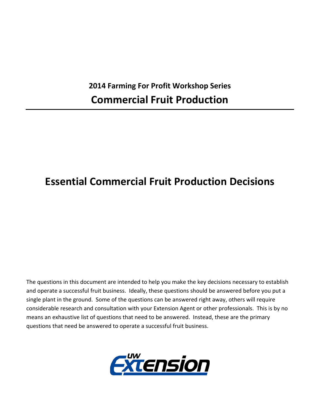## **2014 Farming For Profit Workshop Series Commercial Fruit Production**

# **Essential Commercial Fruit Production Decisions**

The questions in this document are intended to help you make the key decisions necessary to establish and operate a successful fruit business. Ideally, these questions should be answered before you put a single plant in the ground. Some of the questions can be answered right away, others will require considerable research and consultation with your Extension Agent or other professionals. This is by no means an exhaustive list of questions that need to be answered. Instead, these are the primary questions that need be answered to operate a successful fruit business.

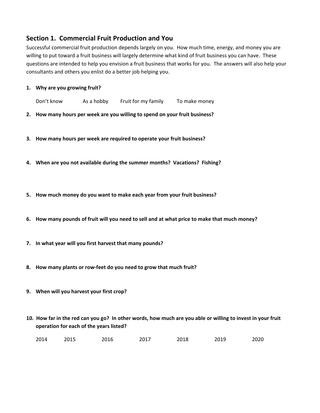## **Section 1. Commercial Fruit Production and You**

Successful commercial fruit production depends largely on you. How much time, energy, and money you are willing to put toward a fruit business will largely determine what kind of fruit business you can have. These questions are intended to help you envision a fruit business that works for you. The answers will also help your consultants and others you enlist do a better job helping you.

#### **1. Why are you growing fruit?**

Don't know As a hobby Fruit for my family To make money

**2. How many hours per week are you willing to spend on your fruit business?**

- **3. How many hours per week are required to operate your fruit business?**
- **4. When are you not available during the summer months? Vacations? Fishing?**
- **5. How much money do you want to make each year from your fruit business?**
- 6. How many pounds of fruit will you need to sell and at what price to make that much money?
- **7. In what year will you first harvest that many pounds?**
- **8. How many plants or row‐feet do you need to grow that much fruit?**
- **9. When will you harvest your first crop?**
- 10. How far in the red can you go? In other words, how much are you able or willing to invest in your fruit **operation for each of the years listed?**

| 2014 | 2015 | 2016 | 2017 | 2018 | 2019 | 2020 |
|------|------|------|------|------|------|------|
|      |      |      |      |      |      |      |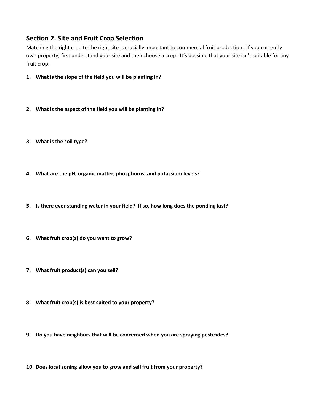## **Section 2. Site and Fruit Crop Selection**

Matching the right crop to the right site is crucially important to commercial fruit production. If you currently own property, first understand your site and then choose a crop. It's possible that your site isn't suitable for any fruit crop.

- **1. What is the slope of the field you will be planting in?**
- **2. What is the aspect of the field you will be planting in?**
- **3. What is the soil type?**
- **4. What are the pH, organic matter, phosphorus, and potassium levels?**
- **5. Is there ever standing water in your field? If so, how long does the ponding last?**
- **6. What fruit crop(s) do you want to grow?**
- **7. What fruit product(s) can you sell?**
- **8. What fruit crop(s) is best suited to your property?**
- **9. Do you have neighbors that will be concerned when you are spraying pesticides?**
- **10. Does local zoning allow you to grow and sell fruit from your property?**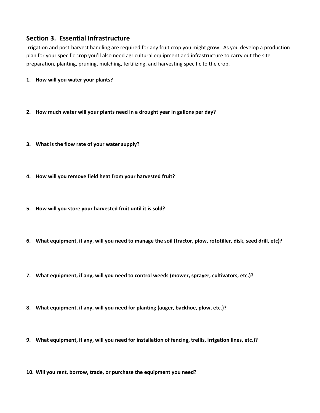## **Section 3. Essential Infrastructure**

Irrigation and post‐harvest handling are required for any fruit crop you might grow. As you develop a production plan for your specific crop you'll also need agricultural equipment and infrastructure to carry out the site preparation, planting, pruning, mulching, fertilizing, and harvesting specific to the crop.

- **1. How will you water your plants?**
- **2. How much water will your plants need in a drought year in gallons per day?**
- **3. What is the flow rate of your water supply?**
- **4. How will you remove field heat from your harvested fruit?**
- **5. How will you store your harvested fruit until it is sold?**
- 6. What equipment, if any, will you need to manage the soil (tractor, plow, rototiller, disk, seed drill, etc)?
- **7. What equipment, if any, will you need to control weeds (mower, sprayer, cultivators, etc.)?**
- **8. What equipment, if any, will you need for planting (auger, backhoe, plow, etc.)?**
- **9. What equipment, if any, will you need for installation of fencing, trellis, irrigation lines, etc.)?**

**10. Will you rent, borrow, trade, or purchase the equipment you need?**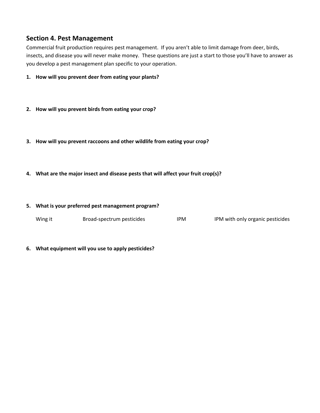## **Section 4. Pest Management**

Commercial fruit production requires pest management. If you aren't able to limit damage from deer, birds, insects, and disease you will never make money. These questions are just a start to those you'll have to answer as you develop a pest management plan specific to your operation.

- **1. How will you prevent deer from eating your plants?**
- **2. How will you prevent birds from eating your crop?**
- **3. How will you prevent raccoons and other wildlife from eating your crop?**
- **4. What are the major insect and disease pests that will affect your fruit crop(s)?**

#### **5. What is your preferred pest management program?**

| Wing it | Broad-spectrum pesticides | IPM | IPM with only organic pesticides |
|---------|---------------------------|-----|----------------------------------|
|         |                           |     |                                  |

#### **6. What equipment will you use to apply pesticides?**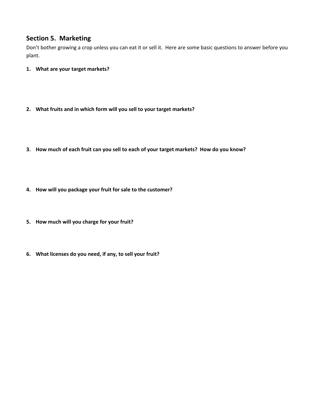## **Section 5. Marketing**

Don't bother growing a crop unless you can eat it or sell it. Here are some basic questions to answer before you plant.

- **1. What are your target markets?**
- **2. What fruits and in which form will you sell to your target markets?**
- 3. How much of each fruit can you sell to each of your target markets? How do you know?
- **4. How will you package your fruit for sale to the customer?**
- **5. How much will you charge for your fruit?**
- **6. What licenses do you need, if any, to sell your fruit?**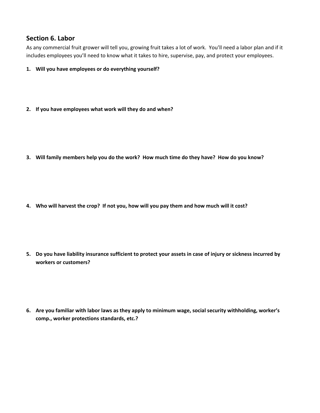## **Section 6. Labor**

As any commercial fruit grower will tell you, growing fruit takes a lot of work. You'll need a labor plan and if it includes employees you'll need to know what it takes to hire, supervise, pay, and protect your employees.

- **1. Will you have employees or do everything yourself?**
- **2. If you have employees what work will they do and when?**

3. Will family members help you do the work? How much time do they have? How do you know?

4. Who will harvest the crop? If not you, how will you pay them and how much will it cost?

5. Do you have liability insurance sufficient to protect your assets in case of injury or sickness incurred by **workers or customers?**

**6. Are you familiar with labor laws as they apply to minimum wage, social security withholding, worker's comp., worker protections standards, etc.?**